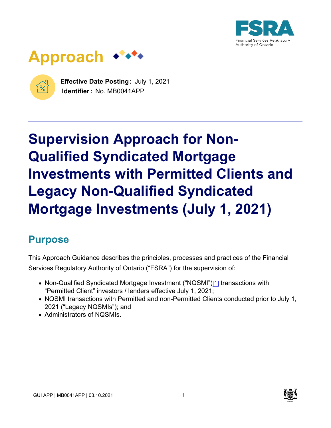



 $\%$ 

**Effective Date Posting :** July 1, 2021 **Identifier:** No. MB0041APP

# **Supervision Approach for Non-Qualified Syndicated Mortgage Investments with Permitted Clients and Legacy Non-Qualified Syndicated Mortgage Investments (July 1, 2021)**

# **Purpose**

This Approach Guidance describes the principles, processes and practices of the Financial Services Regulatory Authority of Ontario ("FSRA") for the supervision of:

- Non-Qualified Syndicated Mortgage Investment ("NQSMI"[\)\[1\]](#page-19-0) transactions with "Permitted Client" investors / lenders effective July 1, 2021;
- NQSMI transactions with Permitted and non-Permitted Clients conducted prior to July 1, 2021 ("Legacy NQSMIs"); and
- Administrators of NQSMIs.

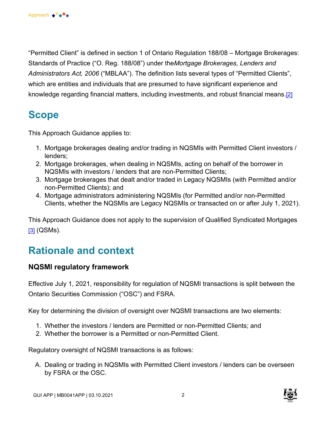"Permitted Client" is defined in section 1 of Ontario Regulation 188/08 – Mortgage Brokerages: Standards of Practice ("O. Reg. 188/08") under the *Mortgage Brokerages, Lenders and Administrators Act, 2006* ("MBLAA"). The definition lists several types of "Permitted Clients", which are entities and individuals that are presumed to have significant experience and knowledge regarding financial matters, including investments, and robust financial means[.\[2\]](#page-19-0)

## **Scope**

This Approach Guidance applies to:

- 1. Mortgage brokerages dealing and/or trading in NQSMIs with Permitted Client investors / lenders;
- 2. Mortgage brokerages, when dealing in NQSMIs, acting on behalf of the borrower in NQSMIs with investors / lenders that are non-Permitted Clients;
- 3. Mortgage brokerages that dealt and/or traded in Legacy NQSMIs (with Permitted and/or non-Permitted Clients); and
- 4. Mortgage administrators administering NQSMIs (for Permitted and/or non-Permitted Clients, whether the NQSMIs are Legacy NQSMIs or transacted on or after July 1, 2021).

This Approach Guidance does not apply to the supervision of Qualified Syndicated Mortgages [\[3\]](#page-19-0) (QSMs).

# **Rationale and context**

#### **NQSMI regulatory framework**

Effective July 1, 2021, responsibility for regulation of NQSMI transactions is split between the Ontario Securities Commission ("OSC") and FSRA.

Key for determining the division of oversight over NQSMI transactions are two elements:

- 1. Whether the investors / lenders are Permitted or non-Permitted Clients; and
- 2. Whether the borrower is a Permitted or non-Permitted Client.

Regulatory oversight of NQSMI transactions is as follows:

A. Dealing or trading in NQSMIs with Permitted Client investors / lenders can be overseen by FSRA or the OSC.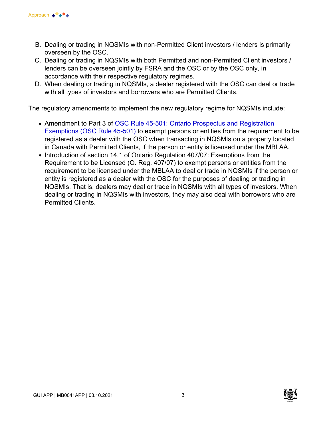

- B. Dealing or trading in NQSMIs with non-Permitted Client investors / lenders is primarily overseen by the OSC.
- C. Dealing or trading in NQSMIs with both Permitted and non-Permitted Client investors / lenders can be overseen jointly by FSRA and the OSC or by the OSC only, in accordance with their respective regulatory regimes.
- D. When dealing or trading in NQSMIs, a dealer registered with the OSC can deal or trade with all types of investors and borrowers who are Permitted Clients.

The regulatory amendments to implement the new regulatory regime for NQSMIs include:

- Amendment to Part 3 of OSC Rule 45-501: Ontario Prospectus and Registration [Exemptions \(OSC Rule 45-501\)](https://www.osc.ca/en/securities-law/instruments-rules-policies/4/45-501/amendments-ontario-securities-commission-rule-45-501-ontario-prospectus-and-registration) to exempt persons or entities from the requirement to be registered as a dealer with the OSC when transacting in NQSMIs on a property located in Canada with Permitted Clients, if the person or entity is licensed under the MBLAA.
- Introduction of section 14.1 of Ontario Regulation 407/07: Exemptions from the Requirement to be Licensed (O. Reg. 407/07) to exempt persons or entities from the requirement to be licensed under the MBLAA to deal or trade in NQSMIs if the person or entity is registered as a dealer with the OSC for the purposes of dealing or trading in NQSMIs. That is, dealers may deal or trade in NQSMIs with all types of investors. When dealing or trading in NQSMIs with investors, they may also deal with borrowers who are Permitted Clients.

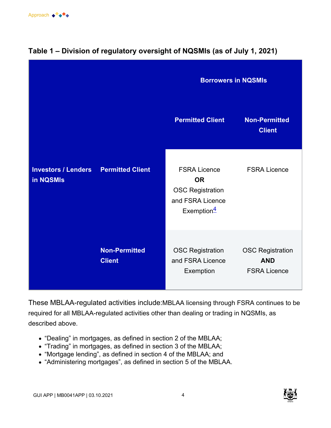

|                                         |                                       | <b>Borrowers in NQSMIs</b>                                                                                 |                                                              |
|-----------------------------------------|---------------------------------------|------------------------------------------------------------------------------------------------------------|--------------------------------------------------------------|
|                                         |                                       | <b>Permitted Client</b>                                                                                    | <b>Non-Permitted</b><br><b>Client</b>                        |
| <b>Investors / Lenders</b><br>in NQSMIs | <b>Permitted Client</b>               | <b>FSRA Licence</b><br><b>OR</b><br><b>OSC Registration</b><br>and FSRA Licence<br>Exemption $\frac{4}{5}$ | <b>FSRA Licence</b>                                          |
|                                         | <b>Non-Permitted</b><br><b>Client</b> | <b>OSC Registration</b><br>and FSRA Licence<br>Exemption                                                   | <b>OSC Registration</b><br><b>AND</b><br><b>FSRA Licence</b> |

### **Table 1 – Division of regulatory oversight of NQSMIs (as of July 1, 2021)**

These MBLAA-regulated activities include:MBLAA licensing through FSRA continues to be required for all MBLAA-regulated activities other than dealing or trading in NQSMIs, as described above.

- "Dealing" in mortgages, as defined in section 2 of the MBLAA;
- "Trading" in mortgages, as defined in section 3 of the MBLAA;
- "Mortgage lending", as defined in section 4 of the MBLAA; and
- "Administering mortgages", as defined in section 5 of the MBLAA.

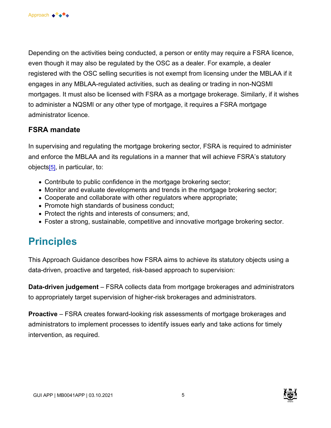Depending on the activities being conducted, a person or entity may require a FSRA licence, even though it may also be regulated by the OSC as a dealer. For example, a dealer registered with the OSC selling securities is not exempt from licensing under the MBLAA if it engages in any MBLAA-regulated activities, such as dealing or trading in non-NQSMI mortgages. It must also be licensed with FSRA as a mortgage brokerage. Similarly, if it wishes to administer a NQSMI or any other type of mortgage, it requires a FSRA mortgage administrator licence.

#### **FSRA mandate**

In supervising and regulating the mortgage brokering sector, FSRA is required to administer and enforce the MBLAA and its regulations in a manner that will achieve FSRA's statutory objects[\[5\]](#page-19-0), in particular, to:

- Contribute to public confidence in the mortgage brokering sector;
- Monitor and evaluate developments and trends in the mortgage brokering sector;
- Cooperate and collaborate with other regulators where appropriate;
- Promote high standards of business conduct;
- Protect the rights and interests of consumers; and,
- Foster a strong, sustainable, competitive and innovative mortgage brokering sector.

## **Principles**

This Approach Guidance describes how FSRA aims to achieve its statutory objects using a data-driven, proactive and targeted, risk-based approach to supervision:

**Data-driven judgement** – FSRA collects data from mortgage brokerages and administrators to appropriately target supervision of higher-risk brokerages and administrators.

**Proactive** – FSRA creates forward-looking risk assessments of mortgage brokerages and administrators to implement processes to identify issues early and take actions for timely intervention, as required.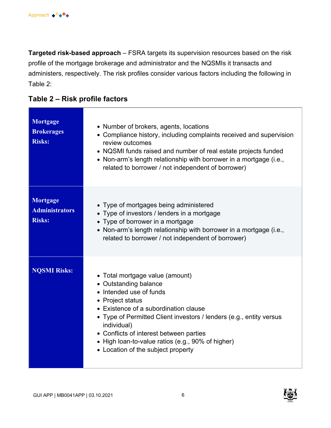**Targeted risk-based approach** – FSRA targets its supervision resources based on the risk profile of the mortgage brokerage and administrator and the NQSMIs it transacts and administers, respectively. The risk profiles consider various factors including the following in Table 2:

|  | Table 2 – Risk profile factors |
|--|--------------------------------|
|--|--------------------------------|

| Mortgage<br><b>Brokerages</b><br><b>Risks:</b>     | • Number of brokers, agents, locations<br>• Compliance history, including complaints received and supervision<br>review outcomes<br>• NQSMI funds raised and number of real estate projects funded<br>• Non-arm's length relationship with borrower in a mortgage (i.e.,<br>related to borrower / not independent of borrower)                                               |
|----------------------------------------------------|------------------------------------------------------------------------------------------------------------------------------------------------------------------------------------------------------------------------------------------------------------------------------------------------------------------------------------------------------------------------------|
| Mortgage<br><b>Administrators</b><br><b>Risks:</b> | • Type of mortgages being administered<br>• Type of investors / lenders in a mortgage<br>• Type of borrower in a mortgage<br>• Non-arm's length relationship with borrower in a mortgage (i.e.,<br>related to borrower / not independent of borrower)                                                                                                                        |
| <b>NQSMI Risks:</b>                                | • Total mortgage value (amount)<br>• Outstanding balance<br>• Intended use of funds<br>• Project status<br>• Existence of a subordination clause<br>• Type of Permitted Client investors / lenders (e.g., entity versus<br>individual)<br>• Conflicts of interest between parties<br>• High loan-to-value ratios (e.g., 90% of higher)<br>• Location of the subject property |

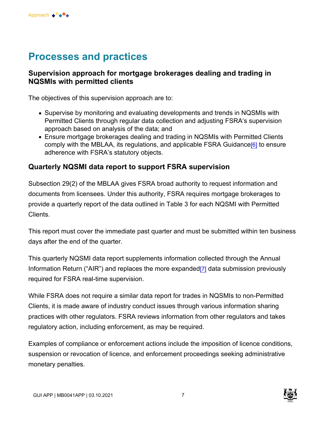## **Processes and practices**

#### **Supervision approach for mortgage brokerages dealing and trading in NQSMIs with permitted clients**

The objectives of this supervision approach are to:

- Supervise by monitoring and evaluating developments and trends in NQSMIs with Permitted Clients through regular data collection and adjusting FSRA's supervision approach based on analysis of the data; and
- Ensure mortgage brokerages dealing and trading in NQSMIs with Permitted Clients comply with the MBLAA, its regulations, and applicable FSRA Guidance<sup>[6]</sup> to ensure adherence with FSRA's statutory objects.

#### **Quarterly NQSMI data report to support FSRA supervision**

Subsection 29(2) of the MBLAA gives FSRA broad authority to request information and documents from licensees. Under this authority, FSRA requires mortgage brokerages to provide a quarterly report of the data outlined in Table 3 for each NQSMI with Permitted Clients.

This report must cover the immediate past quarter and must be submitted within ten business days after the end of the quarter.

This quarterly NQSMI data report supplements information collected through the Annual Information Return ("AIR") and replaces the more expanded[\[7\]](#page-19-0) data submission previously required for FSRA real-time supervision.

While FSRA does not require a similar data report for trades in NQSMIs to non-Permitted Clients, it is made aware of industry conduct issues through various information sharing practices with other regulators. FSRA reviews information from other regulators and takes regulatory action, including enforcement, as may be required.

Examples of compliance or enforcement actions include the imposition of licence conditions, suspension or revocation of licence, and enforcement proceedings seeking administrative monetary penalties.

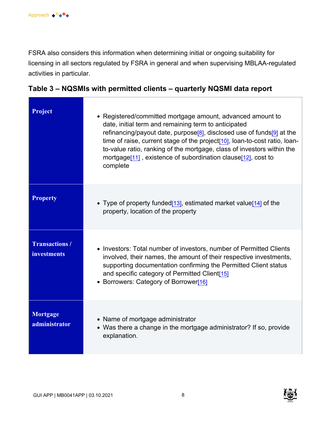FSRA also considers this information when determining initial or ongoing suitability for licensing in all sectors regulated by FSRA in general and when supervising MBLAA-regulated activities in particular.

| Project                                     | • Registered/committed mortgage amount, advanced amount to<br>date, initial term and remaining term to anticipated<br>refinancing/payout date, purpose <sup>[8]</sup> , disclosed use of funds <sup>[9]</sup> at the<br>time of raise, current stage of the project <sup>[10]</sup> , loan-to-cost ratio, loan-<br>to-value ratio, ranking of the mortgage, class of investors within the<br>mortgage <sup>[11]</sup> , existence of subordination clause <sup>[12]</sup> , cost to<br>complete |
|---------------------------------------------|-------------------------------------------------------------------------------------------------------------------------------------------------------------------------------------------------------------------------------------------------------------------------------------------------------------------------------------------------------------------------------------------------------------------------------------------------------------------------------------------------|
| <b>Property</b>                             | • Type of property funded[13], estimated market value[14] of the<br>property, location of the property                                                                                                                                                                                                                                                                                                                                                                                          |
| <b>Transactions /</b><br><b>investments</b> | • Investors: Total number of investors, number of Permitted Clients<br>involved, their names, the amount of their respective investments,<br>supporting documentation confirming the Permitted Client status<br>and specific category of Permitted Client[15]<br>• Borrowers: Category of Borrower[16]                                                                                                                                                                                          |
| Mortgage<br>administrator                   | • Name of mortgage administrator<br>• Was there a change in the mortgage administrator? If so, provide<br>explanation.                                                                                                                                                                                                                                                                                                                                                                          |

#### **Table 3 – NQSMIs with permitted clients – quarterly NQSMI data report**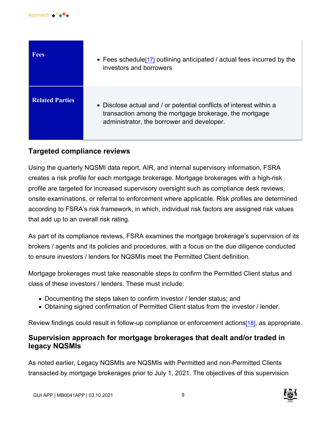

| <b>Fees</b>            | • Fees schedule <sup>[17]</sup> outlining anticipated / actual fees incurred by the<br>investors and borrowers                                                              |
|------------------------|-----------------------------------------------------------------------------------------------------------------------------------------------------------------------------|
| <b>Related Parties</b> | • Disclose actual and / or potential conflicts of interest within a<br>transaction among the mortgage brokerage, the mortgage<br>administrator, the borrower and developer. |

#### **Targeted compliance reviews**

Using the quarterly NQSMI data report, AIR, and internal supervisory information, FSRA creates a risk profile for each mortgage brokerage. Mortgage brokerages with a high-risk profile are targeted for increased supervisory oversight such as compliance desk reviews, onsite examinations, or referral to enforcement where applicable. Risk profiles are determined according to FSRA's risk framework, in which, individual risk factors are assigned risk values that add up to an overall risk rating.

As part of its compliance reviews, FSRA examines the mortgage brokerage's supervision of its brokers / agents and its policies and procedures, with a focus on the due diligence conducted to ensure investors / lenders for NQSMIs meet the Permitted Client definition.

Mortgage brokerages must take reasonable steps to confirm the Permitted Client status and class of these investors / lenders. These must include:

- Documenting the steps taken to confirm investor / lender status; and
- Obtaining signed confirmation of Permitted Client status from the investor / lender.

Review findings could result in follow-up compliance or enforcement actions<sup>[\[18\]](#page-20-0)</sup>, as appropriate.

#### **Supervision approach for mortgage brokerages that dealt and/or traded in legacy NQSMIs**

As noted earlier, Legacy NQSMIs are NQSMIs with Permitted and non-Permitted Clients transacted by mortgage brokerages prior to July 1, 2021. The objectives of this supervision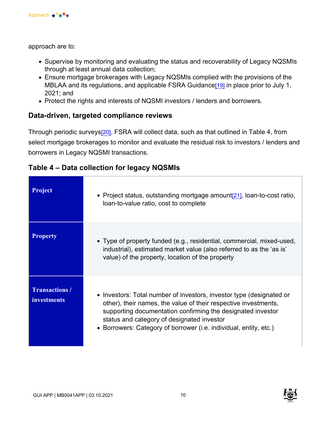approach are to:

- Supervise by monitoring and evaluating the status and recoverability of Legacy NQSMIs through at least annual data collection;
- Ensure mortgage brokerages with Legacy NQSMIs complied with the provisions of the MBLAA and its regulations, and applicable FSRA Guidance<sup>[19]</sup> in place prior to July 1, 2021; and
- Protect the rights and interests of NQSMI investors / lenders and borrowers.

#### **Data-driven, targeted compliance reviews**

Through periodic survey[s\[20\]](#page-20-0), FSRA will collect data, such as that outlined in Table 4, from select mortgage brokerages to monitor and evaluate the residual risk to investors / lenders and borrowers in Legacy NQSMI transactions.

| <b>Project</b>                              | • Project status, outstanding mortgage amount[21], loan-to-cost ratio,<br>loan-to-value ratio, cost to complete                                                                                                                                                                                                           |
|---------------------------------------------|---------------------------------------------------------------------------------------------------------------------------------------------------------------------------------------------------------------------------------------------------------------------------------------------------------------------------|
| <b>Property</b>                             | • Type of property funded (e.g., residential, commercial, mixed-used,<br>industrial), estimated market value (also referred to as the 'as is'<br>value) of the property, location of the property                                                                                                                         |
| <b>Transactions /</b><br><i>investments</i> | • Investors: Total number of investors, investor type (designated or<br>other), their names, the value of their respective investments,<br>supporting documentation confirming the designated investor<br>status and category of designated investor<br>• Borrowers: Category of borrower (i.e. individual, entity, etc.) |

|  |  | Table 4 – Data collection for legacy NQSMIs |
|--|--|---------------------------------------------|
|--|--|---------------------------------------------|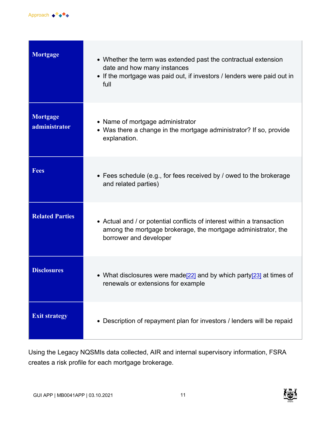

| Mortgage                         | • Whether the term was extended past the contractual extension<br>date and how many instances<br>• If the mortgage was paid out, if investors / lenders were paid out in<br>full |
|----------------------------------|----------------------------------------------------------------------------------------------------------------------------------------------------------------------------------|
| <b>Mortgage</b><br>administrator | • Name of mortgage administrator<br>• Was there a change in the mortgage administrator? If so, provide<br>explanation.                                                           |
| <b>Fees</b>                      | • Fees schedule (e.g., for fees received by / owed to the brokerage<br>and related parties)                                                                                      |
| <b>Related Parties</b>           | • Actual and / or potential conflicts of interest within a transaction<br>among the mortgage brokerage, the mortgage administrator, the<br>borrower and developer                |
| <b>Disclosures</b>               | • What disclosures were made <sup>[22]</sup> and by which party <sup>[23]</sup> at times of<br>renewals or extensions for example                                                |
| <b>Exit strategy</b>             | • Description of repayment plan for investors / lenders will be repaid                                                                                                           |

Using the Legacy NQSMIs data collected, AIR and internal supervisory information, FSRA creates a risk profile for each mortgage brokerage.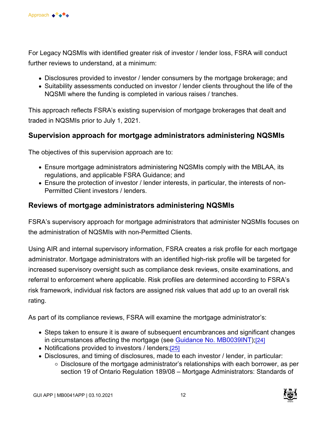For Legacy NQSMIs with identified greater risk of investor / lender loss, FSRA will conduct further reviews to understand, at a minimum:

- Disclosures provided to investor / lender consumers by the mortgage brokerage; and
- Suitability assessments conducted on investor / lender clients throughout the life of the NQSMI where the funding is completed in various raises / tranches.

This approach reflects FSRA's existing supervision of mortgage brokerages that dealt and traded in NQSMIs prior to July 1, 2021.

#### **Supervision approach for mortgage administrators administering NQSMIs**

The objectives of this supervision approach are to:

- Ensure mortgage administrators administering NQSMIs comply with the MBLAA, its regulations, and applicable FSRA Guidance; and
- Ensure the protection of investor / lender interests, in particular, the interests of non-Permitted Client investors / lenders.

#### **Reviews of mortgage administrators administering NQSMIs**

FSRA's supervisory approach for mortgage administrators that administer NQSMIs focuses on the administration of NQSMIs with non-Permitted Clients.

Using AIR and internal supervisory information, FSRA creates a risk profile for each mortgage administrator. Mortgage administrators with an identified high-risk profile will be targeted for increased supervisory oversight such as compliance desk reviews, onsite examinations, and referral to enforcement where applicable. Risk profiles are determined according to FSRA's risk framework, individual risk factors are assigned risk values that add up to an overall risk rating.

As part of its compliance reviews, FSRA will examine the mortgage administrator's:

- Steps taken to ensure it is aware of subsequent encumbrances and significant changes in circumstances affecting the mortgage (see [Guidance No. MB0039INT](https://www.fsrao.ca/industry/mortgage-brokering-sector/guidance/mortgage-administrators-responses-market-disruptions));[\[24\]](#page-21-0)
- Notifications provided to investors / lenders;[\[25\]](#page-21-0)
- Disclosures, and timing of disclosures, made to each investor / lender, in particular:
	- Disclosure of the mortgage administrator's relationships with each borrower, as per section 19 of Ontario Regulation 189/08 – Mortgage Administrators: Standards of

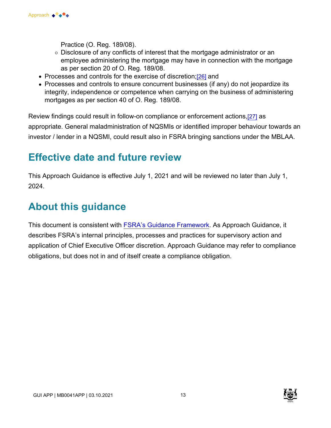

Practice (O. Reg. 189/08).

- $\circ$  Disclosure of any conflicts of interest that the mortgage administrator or an employee administering the mortgage may have in connection with the mortgage as per section 20 of O. Reg. 189/08.
- Processes and controls for the exercise of discretion;[\[26\]](#page-21-0) and
- Processes and controls to ensure concurrent businesses (if any) do not jeopardize its integrity, independence or competence when carrying on the business of administering mortgages as per section 40 of O. Reg. 189/08.

Review findings could result in follow-on compliance or enforcement actions,[\[27\]](#page-21-0) as appropriate. General maladministration of NQSMIs or identified improper behaviour towards an investor / lender in a NQSMI, could result also in FSRA bringing sanctions under the MBLAA.

### **Effective date and future review**

This Approach Guidance is effective July 1, 2021 and will be reviewed no later than July 1, 2024.

### **About this guidance**

This document is consistent with [FSRA's Guidance Framework](https://www.fsrao.ca/regulation/guidance/fsra-guidance-framework). As Approach Guidance, it describes FSRA's internal principles, processes and practices for supervisory action and application of Chief Executive Officer discretion. Approach Guidance may refer to compliance obligations, but does not in and of itself create a compliance obligation.

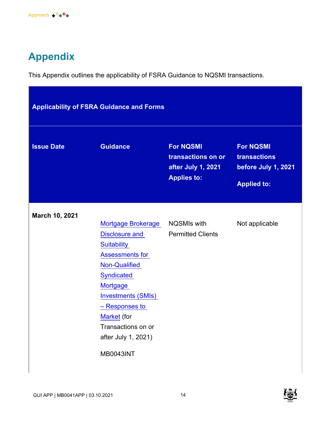

# **Appendix**

This Appendix outlines the applicability of FSRA Guidance to NQSMI transactions.

| <b>Applicability of FSRA Guidance and Forms</b> |                                                                                                                                                                                                                                                                                                  |                                                                                    |                                                                               |
|-------------------------------------------------|--------------------------------------------------------------------------------------------------------------------------------------------------------------------------------------------------------------------------------------------------------------------------------------------------|------------------------------------------------------------------------------------|-------------------------------------------------------------------------------|
| <b>Issue Date</b>                               | <b>Guidance</b>                                                                                                                                                                                                                                                                                  | <b>For NQSMI</b><br>transactions on or<br>after July 1, 2021<br><b>Applies to:</b> | <b>For NQSMI</b><br>transactions<br>before July 1, 2021<br><b>Applied to:</b> |
| March 10, 2021                                  | Mortgage Brokerage  NQSMIs with<br><b>Disclosure and</b><br><b>Suitability</b><br><b>Assessments for</b><br>Non-Qualified<br><b>Syndicated</b><br><b>Mortgage</b><br><b>Investments (SMIs)</b><br>- Responses to<br>Market (for<br>Transactions on or<br>after July 1, 2021)<br><b>MB0043INT</b> | <b>Permitted Clients</b>                                                           | Not applicable                                                                |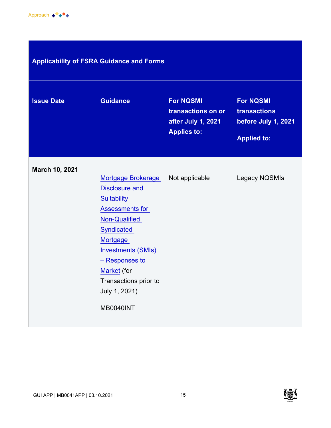

### **Applicability of FSRA Guidance and Forms**

| <b>Issue Date</b> | <b>Guidance</b>                                                                                                                                                                                                                                                                         | <b>For NQSMI</b><br>transactions on or<br>after July 1, 2021<br><b>Applies to:</b> | <b>For NQSMI</b><br>transactions<br>before July 1, 2021<br><b>Applied to:</b> |
|-------------------|-----------------------------------------------------------------------------------------------------------------------------------------------------------------------------------------------------------------------------------------------------------------------------------------|------------------------------------------------------------------------------------|-------------------------------------------------------------------------------|
| March 10, 2021    | <b>Mortgage Brokerage</b><br><b>Disclosure and</b><br>Suitability<br><b>Assessments for</b><br><b>Non-Qualified</b><br><b>Syndicated</b><br><b>Mortgage</b><br><b>Investments (SMIs)</b><br>- Responses to<br>Market (for<br>Transactions prior to<br>July 1, 2021)<br><b>MB0040INT</b> | Not applicable                                                                     | <b>Legacy NQSMIs</b>                                                          |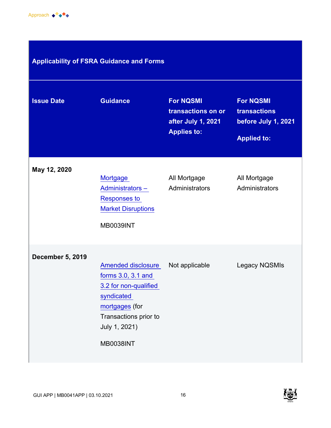

### **Applicability of FSRA Guidance and Forms**

| <b>Issue Date</b>       | <b>Guidance</b>                                                                                                                                                        | <b>For NQSMI</b><br>transactions on or<br>after July 1, 2021<br><b>Applies to:</b> | <b>For NQSMI</b><br>transactions<br>before July 1, 2021<br><b>Applied to:</b> |
|-------------------------|------------------------------------------------------------------------------------------------------------------------------------------------------------------------|------------------------------------------------------------------------------------|-------------------------------------------------------------------------------|
| May 12, 2020            | Mortgage<br><b>Administrators -</b><br><b>Responses to</b><br><b>Market Disruptions</b><br><b>MB0039INT</b>                                                            | All Mortgage<br>Administrators                                                     | All Mortgage<br>Administrators                                                |
| <b>December 5, 2019</b> | <b>Amended disclosure</b><br>forms 3.0, 3.1 and<br>3.2 for non-qualified<br>syndicated<br>mortgages (for<br>Transactions prior to<br>July 1, 2021)<br><b>MB0038INT</b> | Not applicable                                                                     | Legacy NQSMIs                                                                 |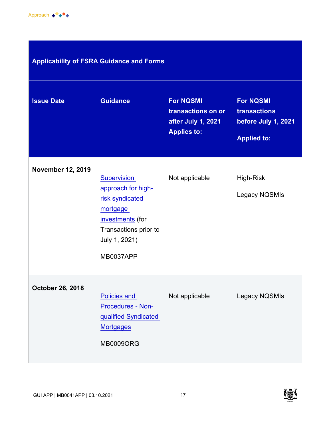

| <b>Applicability of FSRA Guidance and Forms</b> |  |
|-------------------------------------------------|--|

| <b>Issue Date</b>        | <b>Guidance</b>                                                                                                                                    | <b>For NQSMI</b><br>transactions on or<br>after July 1, 2021<br><b>Applies to:</b> | <b>For NQSMI</b><br>transactions<br>before July 1, 2021<br><b>Applied to:</b> |
|--------------------------|----------------------------------------------------------------------------------------------------------------------------------------------------|------------------------------------------------------------------------------------|-------------------------------------------------------------------------------|
| <b>November 12, 2019</b> | Supervision<br>approach for high-<br>risk syndicated<br>mortgage<br>investments (for<br>Transactions prior to<br>July 1, 2021)<br><b>MB0037APP</b> | Not applicable                                                                     | High-Risk<br>Legacy NQSMIs                                                    |
| <b>October 26, 2018</b>  | <b>Policies and</b><br>Procedures - Non-<br>qualified Syndicated<br><b>Mortgages</b><br><b>MB0009ORG</b>                                           | Not applicable                                                                     | Legacy NQSMIs                                                                 |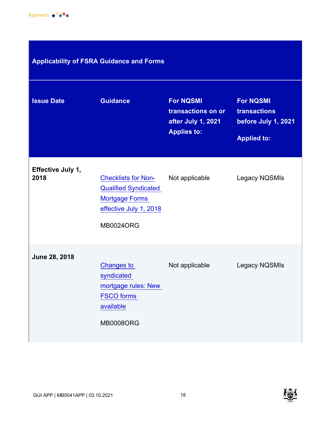

| <b>Applicability of FSRA Guidance and Forms</b> |                                                                                                                                  |                                                                                    |                                                                               |  |  |
|-------------------------------------------------|----------------------------------------------------------------------------------------------------------------------------------|------------------------------------------------------------------------------------|-------------------------------------------------------------------------------|--|--|
| <b>Issue Date</b>                               | <b>Guidance</b>                                                                                                                  | <b>For NQSMI</b><br>transactions on or<br>after July 1, 2021<br><b>Applies to:</b> | <b>For NQSMI</b><br>transactions<br>before July 1, 2021<br><b>Applied to:</b> |  |  |
| Effective July 1,<br>2018                       | <b>Checklists for Non-</b><br><b>Qualified Syndicated</b><br><b>Mortgage Forms</b><br>effective July 1, 2018<br><b>MB0024ORG</b> | Not applicable                                                                     | <b>Legacy NQSMIs</b>                                                          |  |  |
| June 28, 2018                                   | <b>Changes to</b><br>syndicated<br>mortgage rules: New<br><b>FSCO</b> forms<br>available<br><b>MB0008ORG</b>                     | Not applicable                                                                     | <b>Legacy NQSMIs</b>                                                          |  |  |

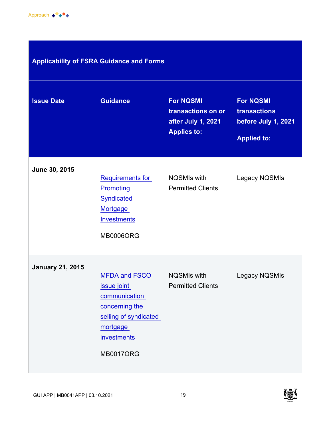

### **Applicability of FSRA Guidance and Forms**

| <b>Issue Date</b>       | <b>Guidance</b>                                                                                                                                | <b>For NQSMI</b><br>transactions on or<br>after July 1, 2021<br><b>Applies to:</b> | <b>For NQSMI</b><br>transactions<br>before July 1, 2021<br><b>Applied to:</b> |
|-------------------------|------------------------------------------------------------------------------------------------------------------------------------------------|------------------------------------------------------------------------------------|-------------------------------------------------------------------------------|
| June 30, 2015           | Requirements for<br><b>Promoting</b><br><b>Syndicated</b><br>Mortgage<br><b>Investments</b><br><b>MB0006ORG</b>                                | <b>NQSMIs with</b><br><b>Permitted Clients</b>                                     | Legacy NQSMIs                                                                 |
| <b>January 21, 2015</b> | <b>MFDA and FSCO</b><br>issue joint<br>communication<br>concerning the<br>selling of syndicated<br>mortgage<br>investments<br><b>MB0017ORG</b> | <b>NQSMIs with</b><br><b>Permitted Clients</b>                                     | Legacy NQSMIs                                                                 |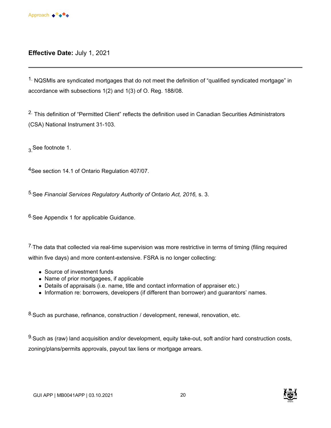<span id="page-19-0"></span>

#### **Effective Date:** July 1, 2021

<sup>1.</sup> NQSMIs are syndicated mortgages that do not meet the definition of "qualified syndicated mortgage" in accordance with subsections 1(2) and 1(3) of O. Reg. 188/08.

<sup>2.</sup> This definition of "Permitted Client" reflects the definition used in Canadian Securities Administrators (CSA) National Instrument 31-103.

3 See footnote 1.

<sup>4</sup>See section 14.1 of Ontario Regulation 407/07.

5.See *Financial Services Regulatory Authority of Ontario Act, 2016,* s. 3.

6.See Appendix 1 for applicable Guidance.

 $7$ . The data that collected via real-time supervision was more restrictive in terms of timing (filing required within five days) and more content-extensive. FSRA is no longer collecting:

- Source of investment funds
- Name of prior mortgagees, if applicable
- Details of appraisals (i.e. name, title and contact information of appraiser etc.)
- Information re: borrowers, developers (if different than borrower) and guarantors' names.

8. Such as purchase, refinance, construction / development, renewal, renovation, etc.

9. Such as (raw) land acquisition and/or development, equity take-out, soft and/or hard construction costs, zoning/plans/permits approvals, payout tax liens or mortgage arrears.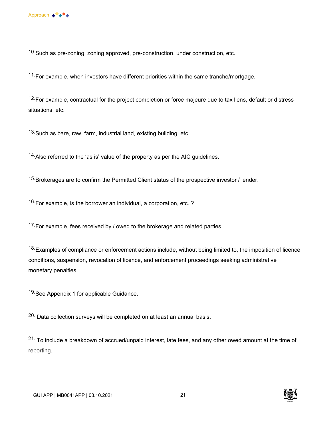<span id="page-20-0"></span> $10$ . Such as pre-zoning, zoning approved, pre-construction, under construction, etc.

 $11$ . For example, when investors have different priorities within the same tranche/mortgage.

<sup>12.</sup>For example, contractual for the project completion or force majeure due to tax liens, default or distress situations, etc.

13. Such as bare, raw, farm, industrial land, existing building, etc.

14. Also referred to the 'as is' value of the property as per the AIC guidelines.

<sup>15.</sup>Brokerages are to confirm the Permitted Client status of the prospective investor / lender.

 $16$  For example, is the borrower an individual, a corporation, etc. ?

<sup>17.</sup> For example, fees received by / owed to the brokerage and related parties.

<sup>18.</sup>Examples of compliance or enforcement actions include, without being limited to, the imposition of licence conditions, suspension, revocation of licence, and enforcement proceedings seeking administrative monetary penalties.

19. See Appendix 1 for applicable Guidance.

 $20.$  Data collection surveys will be completed on at least an annual basis.

21. To include a breakdown of accrued/unpaid interest, late fees, and any other owed amount at the time of reporting.